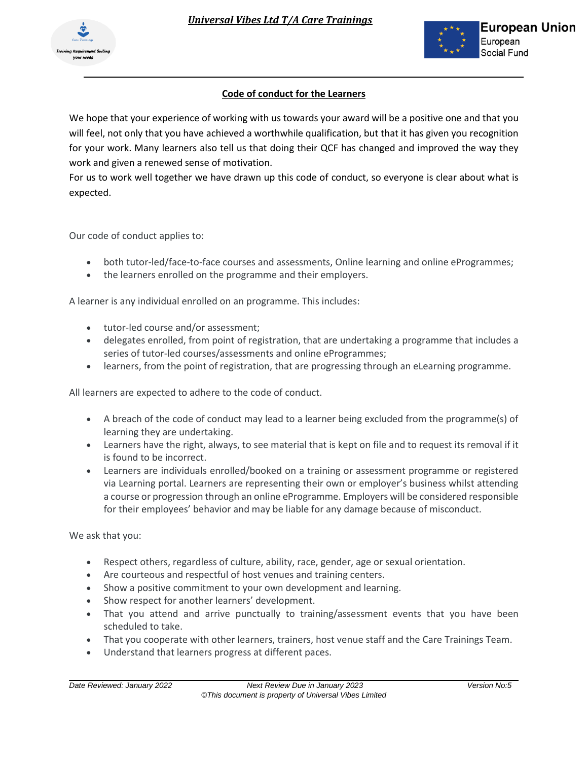



## **Code of conduct for the Learners**

We hope that your experience of working with us towards your award will be a positive one and that you will feel, not only that you have achieved a worthwhile qualification, but that it has given you recognition for your work. Many learners also tell us that doing their QCF has changed and improved the way they work and given a renewed sense of motivation.

For us to work well together we have drawn up this code of conduct, so everyone is clear about what is expected.

Our code of conduct applies to:

- both tutor-led/face-to-face courses and assessments, Online learning and online eProgrammes;
- the learners enrolled on the programme and their employers.

A learner is any individual enrolled on an programme. This includes:

- tutor-led course and/or assessment;
- delegates enrolled, from point of registration, that are undertaking a programme that includes a series of tutor-led courses/assessments and online eProgrammes;
- learners, from the point of registration, that are progressing through an eLearning programme.

All learners are expected to adhere to the code of conduct.

- A breach of the code of conduct may lead to a learner being excluded from the programme(s) of learning they are undertaking.
- Learners have the right, always, to see material that is kept on file and to request its removal if it is found to be incorrect.
- Learners are individuals enrolled/booked on a training or assessment programme or registered via Learning portal. Learners are representing their own or employer's business whilst attending a course or progression through an online eProgramme. Employers will be considered responsible for their employees' behavior and may be liable for any damage because of misconduct.

We ask that you:

- Respect others, regardless of culture, ability, race, gender, age or sexual orientation.
- Are courteous and respectful of host venues and training centers.
- Show a positive commitment to your own development and learning.
- Show respect for another learners' development.
- That you attend and arrive punctually to training/assessment events that you have been scheduled to take.
- That you cooperate with other learners, trainers, host venue staff and the Care Trainings Team.
- Understand that learners progress at different paces.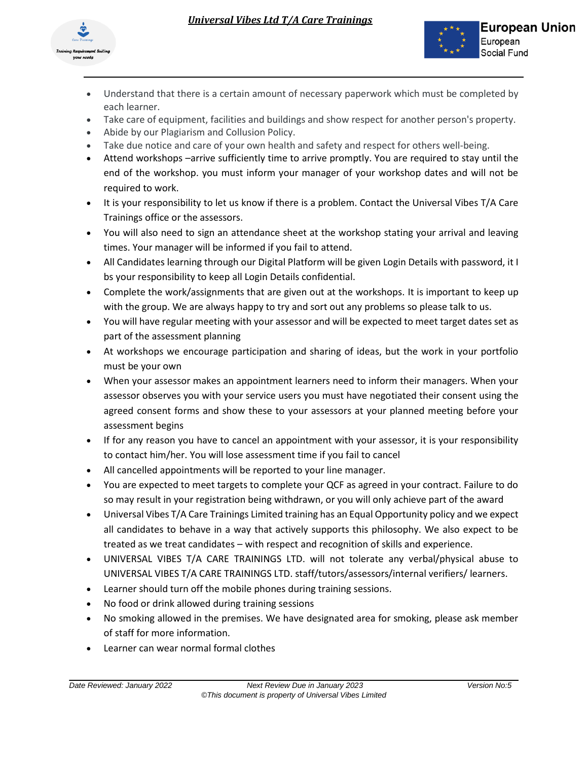

- Understand that there is a certain amount of necessary paperwork which must be completed by each learner.
- Take care of equipment, facilities and buildings and show respect for another person's property.
- Abide by our Plagiarism and Collusion Policy.
- Take due notice and care of your own health and safety and respect for others well-being.
- Attend workshops –arrive sufficiently time to arrive promptly. You are required to stay until the end of the workshop. you must inform your manager of your workshop dates and will not be required to work.
- It is your responsibility to let us know if there is a problem. Contact the Universal Vibes T/A Care Trainings office or the assessors.
- You will also need to sign an attendance sheet at the workshop stating your arrival and leaving times. Your manager will be informed if you fail to attend.
- All Candidates learning through our Digital Platform will be given Login Details with password, it I bs your responsibility to keep all Login Details confidential.
- Complete the work/assignments that are given out at the workshops. It is important to keep up with the group. We are always happy to try and sort out any problems so please talk to us.
- You will have regular meeting with your assessor and will be expected to meet target dates set as part of the assessment planning
- At workshops we encourage participation and sharing of ideas, but the work in your portfolio must be your own
- When your assessor makes an appointment learners need to inform their managers. When your assessor observes you with your service users you must have negotiated their consent using the agreed consent forms and show these to your assessors at your planned meeting before your assessment begins
- If for any reason you have to cancel an appointment with your assessor, it is your responsibility to contact him/her. You will lose assessment time if you fail to cancel
- All cancelled appointments will be reported to your line manager.
- You are expected to meet targets to complete your QCF as agreed in your contract. Failure to do so may result in your registration being withdrawn, or you will only achieve part of the award
- Universal Vibes T/A Care Trainings Limited training has an Equal Opportunity policy and we expect all candidates to behave in a way that actively supports this philosophy. We also expect to be treated as we treat candidates – with respect and recognition of skills and experience.
- UNIVERSAL VIBES T/A CARE TRAININGS LTD. will not tolerate any verbal/physical abuse to UNIVERSAL VIBES T/A CARE TRAININGS LTD. staff/tutors/assessors/internal verifiers/ learners.
- Learner should turn off the mobile phones during training sessions.
- No food or drink allowed during training sessions
- No smoking allowed in the premises. We have designated area for smoking, please ask member of staff for more information.
- Learner can wear normal formal clothes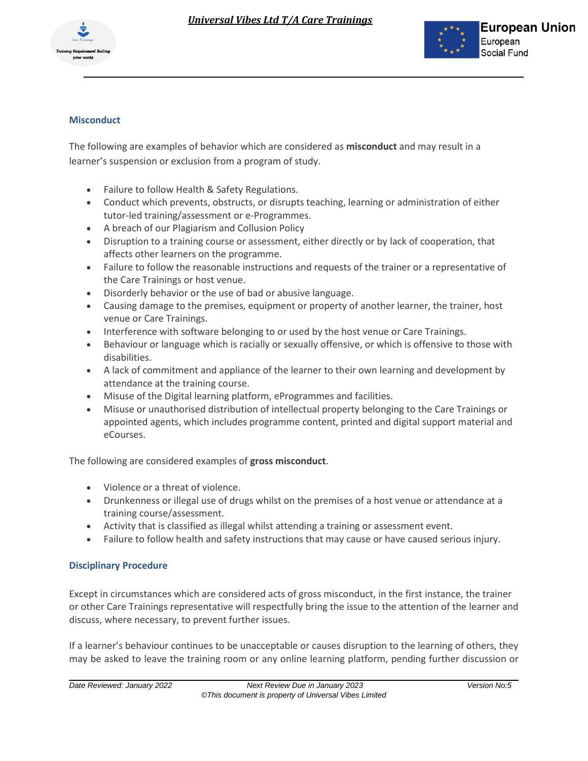



## **Misconduct**

The following are examples of behavior which are considered as **misconduct** and may result in a learner's suspension or exclusion from a program of study.

- Failure to follow Health & Safety Regulations.
- Conduct which prevents, obstructs, or disrupts teaching, learning or administration of either tutor-led training/assessment or e-Programmes.
- A breach of our Plagiarism and Collusion Policy
- Disruption to a training course or assessment, either directly or by lack of cooperation, that affects other learners on the programme.
- Failure to follow the reasonable instructions and requests of the trainer or a representative of the Care Trainings or host venue.
- Disorderly behavior or the use of bad or abusive language.
- Causing damage to the premises, equipment or property of another learner, the trainer, host venue or Care Trainings.
- Interference with software belonging to or used by the host venue or Care Trainings.
- Behaviour or language which is racially or sexually offensive, or which is offensive to those with disabilities.
- A lack of commitment and appliance of the learner to their own learning and development by attendance at the training course.
- Misuse of the Digital learning platform, eProgrammes and facilities.
- Misuse or unauthorised distribution of intellectual property belonging to the Care Trainings or appointed agents, which includes programme content, printed and digital support material and eCourses.

The following are considered examples of **gross misconduct**.

- Violence or a threat of violence.
- Drunkenness or illegal use of drugs whilst on the premises of a host venue or attendance at a training course/assessment.
- Activity that is classified as illegal whilst attending a training or assessment event.
- Failure to follow health and safety instructions that may cause or have caused serious injury.

## **Disciplinary Procedure**

Except in circumstances which are considered acts of gross misconduct, in the first instance, the trainer or other Care Trainings representative will respectfully bring the issue to the attention of the learner and discuss, where necessary, to prevent further issues.

If a learner's behaviour continues to be unacceptable or causes disruption to the learning of others, they may be asked to leave the training room or any online learning platform, pending further discussion or